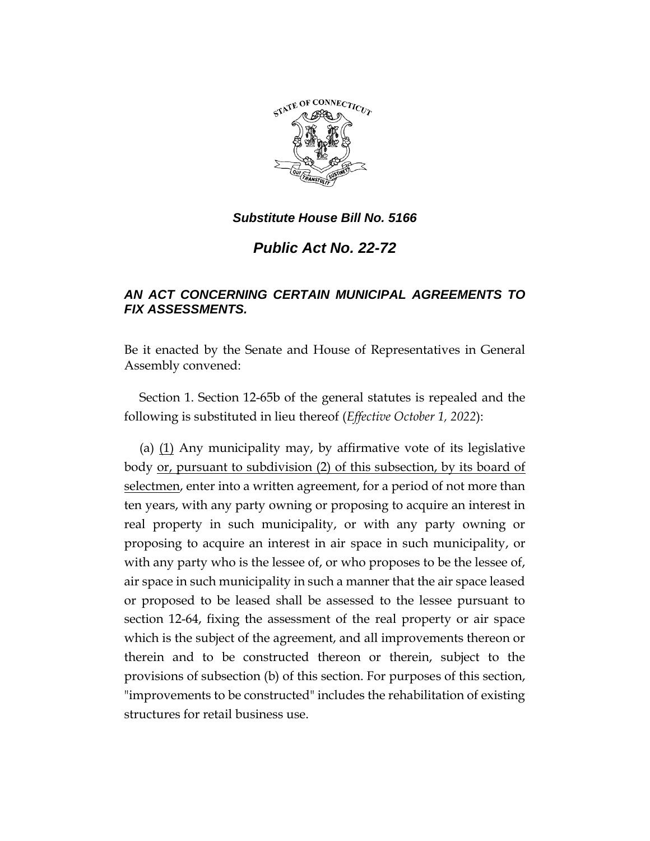

## *Substitute House Bill No. 5166*

## *Public Act No. 22-72*

## *AN ACT CONCERNING CERTAIN MUNICIPAL AGREEMENTS TO FIX ASSESSMENTS.*

Be it enacted by the Senate and House of Representatives in General Assembly convened:

Section 1. Section 12-65b of the general statutes is repealed and the following is substituted in lieu thereof (*Effective October 1, 2022*):

(a)  $(1)$  Any municipality may, by affirmative vote of its legislative body or, pursuant to subdivision (2) of this subsection, by its board of selectmen, enter into a written agreement, for a period of not more than ten years, with any party owning or proposing to acquire an interest in real property in such municipality, or with any party owning or proposing to acquire an interest in air space in such municipality, or with any party who is the lessee of, or who proposes to be the lessee of, air space in such municipality in such a manner that the air space leased or proposed to be leased shall be assessed to the lessee pursuant to section 12-64, fixing the assessment of the real property or air space which is the subject of the agreement, and all improvements thereon or therein and to be constructed thereon or therein, subject to the provisions of subsection (b) of this section. For purposes of this section, "improvements to be constructed" includes the rehabilitation of existing structures for retail business use.